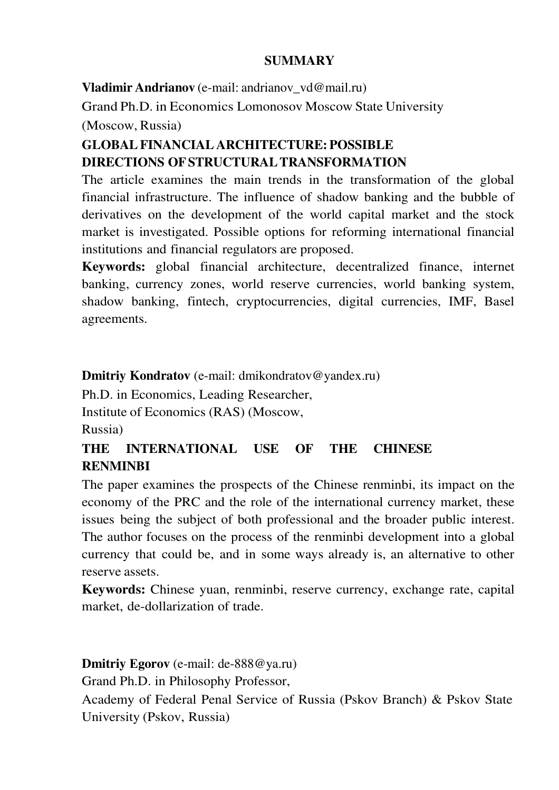### **SUMMARY**

**Vladimir Andrianov** (e-mail: andrianov\_vd@mail.ru)

Grand Ph.D. in Economics Lomonosov Moscow State University

(Moscow, Russia)

# **GLOBAL FINANCIAL ARCHITECTURE: POSSIBLE DIRECTIONS OF STRUCTURAL TRANSFORMATION**

The article examines the main trends in the transformation of the global financial infrastructure. The influence of shadow banking and the bubble of derivatives on the development of the world capital market and the stock market is investigated. Possible options for reforming international financial institutions and financial regulators are proposed.

**Keywords:** global financial architecture, decentralized finance, internet banking, currency zones, world reserve currencies, world banking system, shadow banking, fintech, cryptocurrencies, digital currencies, IMF, Basel agreements.

**Dmitriy Kondratov** (e-mail: dmikondratov@yandex.ru)

Ph.D. in Economics, Leading Researcher,

Institute of Economics (RAS) (Moscow,

Russia)

## **THE INTERNATIONAL USE OF THE CHINESE RENMINBI**

The paper examines the prospects of the Chinese renminbi, its impact on the economy of the PRC and the role of the international currency market, these issues being the subject of both professional and the broader public interest. The author focuses on the process of the renminbi development into a global currency that could be, and in some ways already is, an alternative to other reserve assets.

**Keywords:** Chinese yuan, renminbi, reserve currency, exchange rate, capital market, de-dollarization of trade.

### **Dmitriy Egorov** (e-mail: de-888@ya.ru)

Grand Ph.D. in Philosophy Professor,

Academy of Federal Penal Service of Russia (Pskov Branch) & Pskov State University (Pskov, Russia)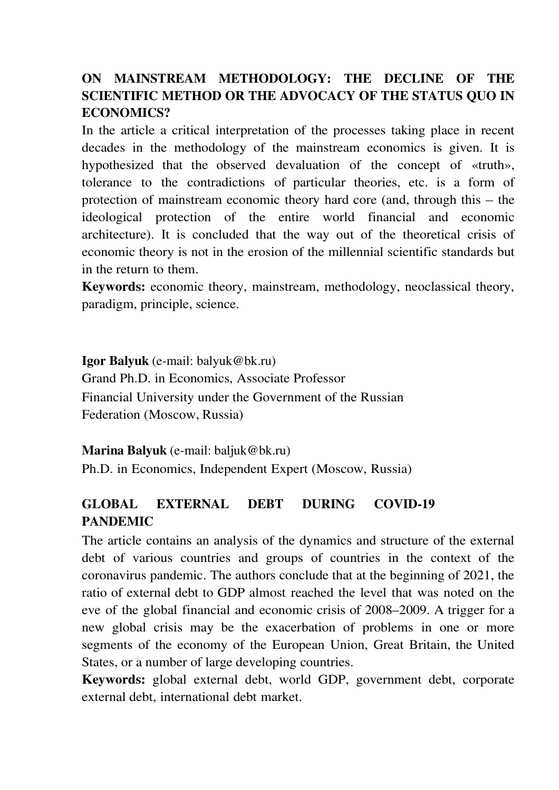## **ON MAINSTREAM METHODOLOGY: THE DECLINE OF THE SCIENTIFIC METHOD OR THE ADVOCACY OF THE STATUS QUO IN ECONOMICS?**

In the article a critical interpretation of the processes taking place in recent decades in the methodology of the mainstream economics is given. It is hypothesized that the observed devaluation of the concept of «truth», tolerance to the contradictions of particular theories, etc. is a form of protection of mainstream economic theory hard core (and, through this – the ideological protection of the entire world financial and economic architecture). It is concluded that the way out of the theoretical crisis of economic theory is not in the erosion of the millennial scientific standards but in the return to them.

**Keywords:** economic theory, mainstream, methodology, neoclassical theory, paradigm, principle, science.

**Igor Balyuk** (e-mail: balyuk@bk.ru) Grand Ph.D. in Economics, Associate Professor Financial University under the Government of the Russian Federation (Moscow, Russia)

**Marina Balyuk** (e-mail: baljuk@bk.ru)

Ph.D. in Economics, Independent Expert (Moscow, Russia)

## **GLOBAL EXTERNAL DEBT DURING COVID-19 PANDEMIC**

The article contains an analysis of the dynamics and structure of the external debt of various countries and groups of countries in the context of the coronavirus pandemic. The authors conclude that at the beginning of 2021, the ratio of external debt to GDP almost reached the level that was noted on the eve of the global financial and economic crisis of 2008–2009. A trigger for a new global crisis may be the exacerbation of problems in one or more segments of the economy of the European Union, Great Britain, the United States, or a number of large developing countries.

**Keywords:** global external debt, world GDP, government debt, corporate external debt, international debt market.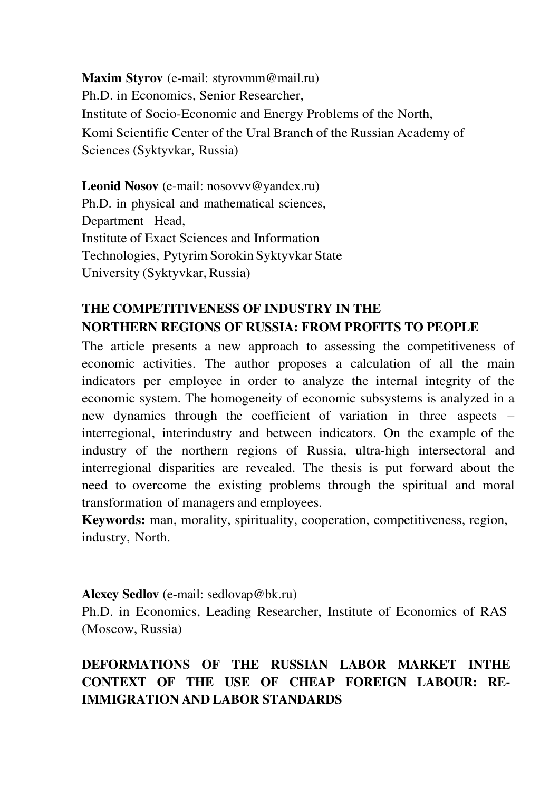**Maxim Styrov** (e-mail: styrovmm@mail.ru) Ph.D. in Economics, Senior Researcher, Institute of Socio-Economic and Energy Problems of the North, Komi Scientific Center of the Ural Branch of the Russian Academy of Sciences (Syktyvkar, Russia)

Leonid Nosov (e-mail: nosovvv@yandex.ru) Ph.D. in physical and mathematical sciences, Department Head, Institute of Exact Sciences and Information Technologies, Pytyrim Sorokin Syktyvkar State University (Syktyvkar, Russia)

# **THE COMPETITIVENESS OF INDUSTRY IN THE NORTHERN REGIONS OF RUSSIA: FROM PROFITS TO PEOPLE**

The article presents a new approach to assessing the competitiveness of economic activities. The author proposes a calculation of all the main indicators per employee in order to analyze the internal integrity of the economic system. The homogeneity of economic subsystems is analyzed in a new dynamics through the coefficient of variation in three aspects – interregional, interindustry and between indicators. On the example of the industry of the northern regions of Russia, ultra-high intersectoral and interregional disparities are revealed. The thesis is put forward about the need to overcome the existing problems through the spiritual and moral transformation of managers and employees.

**Keywords:** man, morality, spirituality, cooperation, competitiveness, region, industry, North.

#### **Alexey Sedlov** (e-mail: sedlovap@bk.ru)

Ph.D. in Economics, Leading Researcher, Institute of Economics of RAS (Moscow, Russia)

# **DEFORMATIONS OF THE RUSSIAN LABOR MARKET INTHE CONTEXT OF THE USE OF CHEAP FOREIGN LABOUR: RE-IMMIGRATION AND LABOR STANDARDS**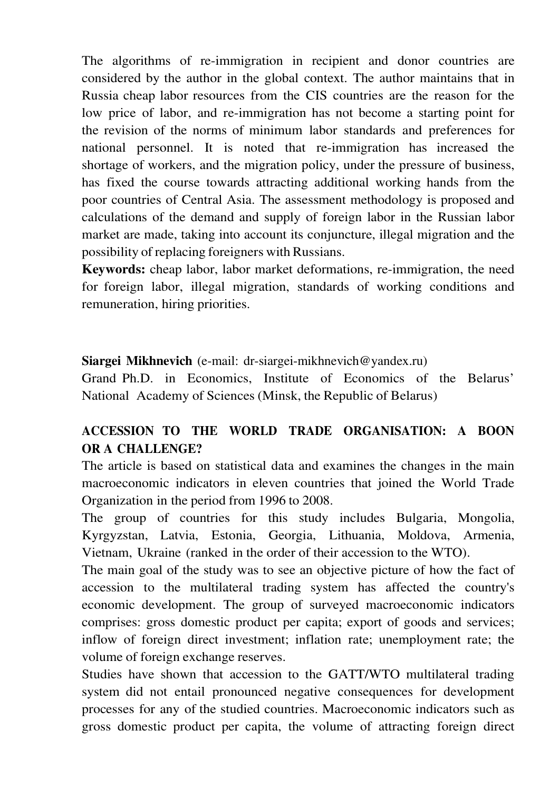The algorithms of re-immigration in recipient and donor countries are considered by the author in the global context. The author maintains that in Russia cheap labor resources from the CIS countries are the reason for the low price of labor, and re-immigration has not become a starting point for the revision of the norms of minimum labor standards and preferences for national personnel. It is noted that re-immigration has increased the shortage of workers, and the migration policy, under the pressure of business, has fixed the course towards attracting additional working hands from the poor countries of Central Asia. The assessment methodology is proposed and calculations of the demand and supply of foreign labor in the Russian labor market are made, taking into account its conjuncture, illegal migration and the possibility of replacing foreigners with Russians.

**Keywords:** cheap labor, labor market deformations, re-immigration, the need for foreign labor, illegal migration, standards of working conditions and remuneration, hiring priorities.

### **Siargei Mikhnevich** (e-mail: dr-siargei-mikhnevich@yandex.ru)

Grand Ph.D. in Economics, Institute of Economics of the Belarus' National Academy of Sciences (Minsk, the Republic of Belarus)

## **ACCESSION TO THE WORLD TRADE ORGANISATION: A BOON OR A CHALLENGE?**

The article is based on statistical data and examines the changes in the main macroeconomic indicators in eleven countries that joined the World Trade Organization in the period from 1996 to 2008.

The group of countries for this study includes Bulgaria, Mongolia, Kyrgyzstan, Latvia, Estonia, Georgia, Lithuania, Moldova, Armenia, Vietnam, Ukraine (ranked in the order of their accession to the WTO).

The main goal of the study was to see an objective picture of how the fact of accession to the multilateral trading system has affected the country's economic development. The group of surveyed macroeconomic indicators comprises: gross domestic product per capita; export of goods and services; inflow of foreign direct investment; inflation rate; unemployment rate; the volume of foreign exchange reserves.

Studies have shown that accession to the GATT/WTO multilateral trading system did not entail pronounced negative consequences for development processes for any of the studied countries. Macroeconomic indicators such as gross domestic product per capita, the volume of attracting foreign direct